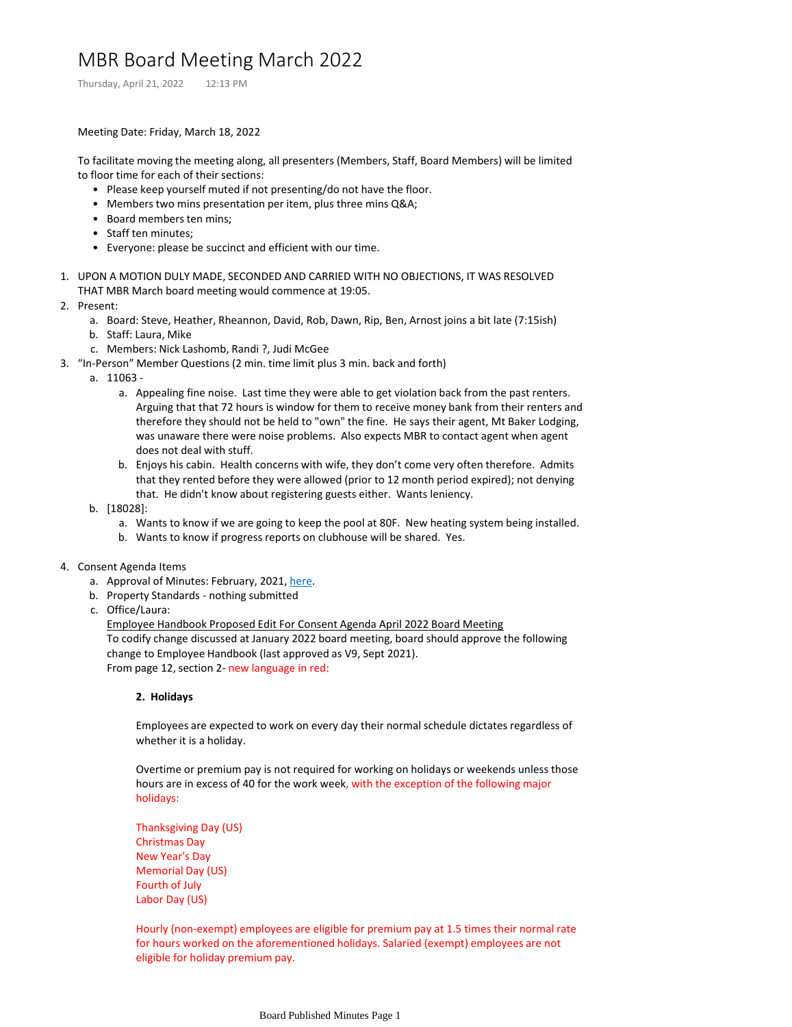# MBR Board Meeting March 2022

Thursday, April 21, 2022 12:13 PM

### Meeting Date: Friday, March 18, 2022

To facilitate moving the meeting along, all presenters (Members, Staff, Board Members) will be limited to floor time for each of their sections:

- Please keep yourself muted if not presenting/do not have the floor.
- Members two mins presentation per item, plus three mins Q&A;
- Board members ten mins;
- Staff ten minutes;
- Everyone: please be succinct and efficient with our time.
- 1. UPON A MOTION DULY MADE, SECONDED AND CARRIED WITH NO OBJECTIONS, IT WAS RESOLVED THAT MBR March board meeting would commence at 19:05.
- 2. Present:
	- a. Board: Steve, Heather, Rheannon, David, Rob, Dawn, Rip, Ben, Arnost joins a bit late (7:15ish)
	- b. Staff: Laura, Mike
	- c. Members: Nick Lashomb, Randi ?, Judi McGee
- 3. "In-Person" Member Questions (2 min. time limit plus 3 min. back and forth)
- 11063 a.
	- a. Appealing fine noise. Last time they were able to get violation back from the past renters. Arguing that that 72 hours is window for them to receive money bank from their renters and therefore they should not be held to "own" the fine. He says their agent, Mt Baker Lodging, was unaware there were noise problems. Also expects MBR to contact agent when agent does not deal with stuff.
	- b. Enjoys his cabin. Health concerns with wife, they don't come very often therefore. Admits that they rented before they were allowed (prior to 12 month period expired); not denying that. He didn't know about registering guests either. Wants leniency.
	- [18028]: b.
		- a. Wants to know if we are going to keep the pool at 80F. New heating system being installed.
		- b. Wants to know if progress reports on clubhouse will be shared. Yes.
- 4. Consent Agenda Items
	- a. Approval of Minutes: February, 2021, [here](https://mtbakerrim.sharepoint.com/sites/mbr_board_only/_layouts/OneNote.aspx?id=%2Fsites%2Fmbr_board_only%2FSiteAssets%2FMBR_BOARD_ONLY_GROUP%20Notebook&wd=target%28Board%20Published%20Minutes.one%7C0DB4B39E-9E2E-4A3A-BBBB-5153A31F305F%2FMBR%20Board%20Meeting%20February%202022%7C54C8E9CC-0956-4329-8841-B983D2EA0465%2F%29).
	- b. Property Standards nothing submitted
	- c. Office/Laura:

Employee Handbook Proposed Edit For Consent Agenda April 2022 Board Meeting To codify change discussed at January 2022 board meeting, board should approve the following change to Employee Handbook (last approved as V9, Sept 2021). From page 12, section 2- new language in red:

#### **2. Holidays**

Employees are expected to work on every day their normal schedule dictates regardless of whether it is a holiday.

Overtime or premium pay is not required for working on holidays or weekends unless those hours are in excess of 40 for the work week, with the exception of the following major holidays:

Thanksgiving Day (US) Christmas Day New Year's Day Memorial Day (US) Fourth of July Labor Day (US)

Hourly (non-exempt) employees are eligible for premium pay at 1.5 times their normal rate for hours worked on the aforementioned holidays. Salaried (exempt) employees are not eligible for holiday premium pay.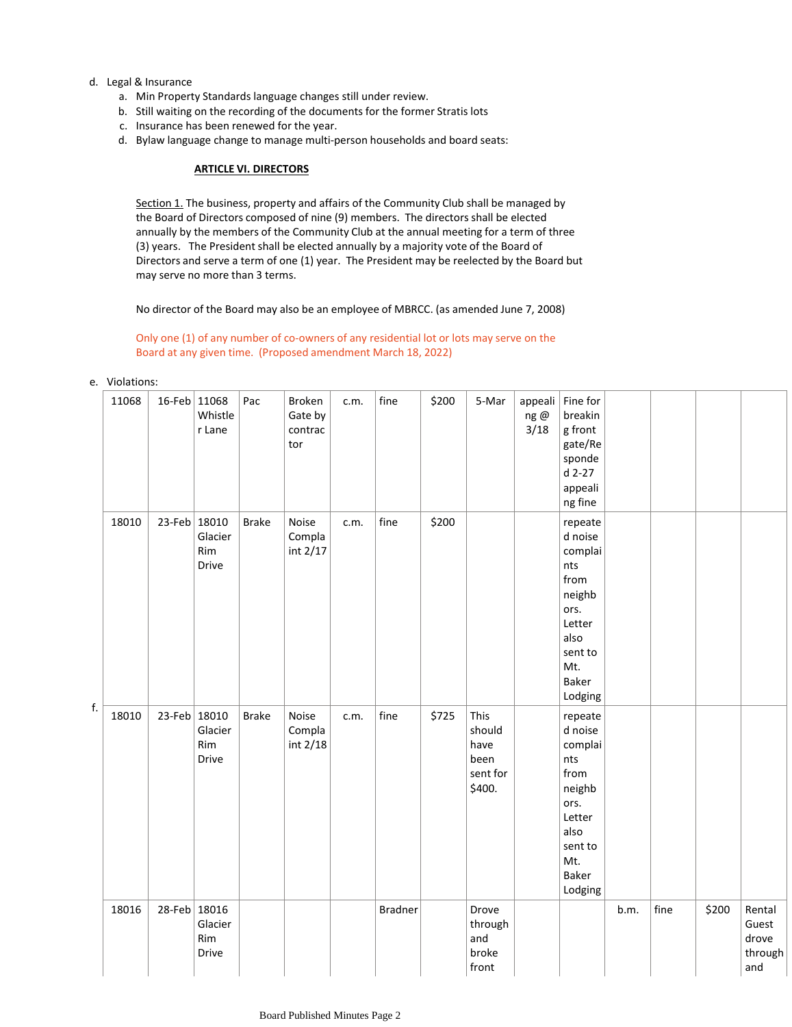## d. Legal & Insurance

- a. Min Property Standards language changes still under review.
- b. Still waiting on the recording of the documents for the former Stratis lots
- c. Insurance has been renewed for the year.
- d. Bylaw language change to manage multi-person households and board seats:

#### **ARTICLE VI. DIRECTORS**

Section 1. The business, property and affairs of the Community Club shall be managed by the Board of Directors composed of nine (9) members. The directors shall be elected annually by the members of the Community Club at the annual meeting for a term of three (3) years. The President shall be elected annually by a majority vote of the Board of Directors and serve a term of one (1) year. The President may be reelected by the Board but may serve no more than 3 terms.

No director of the Board may also be an employee of MBRCC. (as amended June 7, 2008)

### Only one (1) of any number of co-owners of any residential lot or lots may serve on the Board at any given time. (Proposed amendment March 18, 2022)

#### e. Violations:

| f. | 11068 | 16-Feb 11068 | Whistle<br>r Lane       | Pac          | Broken<br>Gate by<br>contrac<br>tor | c.m. | fine           | \$200 | 5-Mar                                                | appeali<br>ng@<br>3/18 | Fine for<br>breakin<br>g front<br>gate/Re<br>sponde<br>$d$ 2-27<br>appeali<br>ng fine                                  |      |      |       |                                            |
|----|-------|--------------|-------------------------|--------------|-------------------------------------|------|----------------|-------|------------------------------------------------------|------------------------|------------------------------------------------------------------------------------------------------------------------|------|------|-------|--------------------------------------------|
|    | 18010 | 23-Feb 18010 | Glacier<br>Rim<br>Drive | <b>Brake</b> | Noise<br>Compla<br>int 2/17         | c.m. | fine           | \$200 |                                                      |                        | repeate<br>d noise<br>complai<br>nts<br>from<br>neighb<br>ors.<br>Letter<br>also<br>sent to<br>Mt.<br>Baker<br>Lodging |      |      |       |                                            |
|    | 18010 | 23-Feb 18010 | Glacier<br>Rim<br>Drive | <b>Brake</b> | Noise<br>Compla<br>int 2/18         | c.m. | fine           | \$725 | This<br>should<br>have<br>been<br>sent for<br>\$400. |                        | repeate<br>d noise<br>complai<br>nts<br>from<br>neighb<br>ors.<br>Letter<br>also<br>sent to<br>Mt.<br>Baker<br>Lodging |      |      |       |                                            |
|    | 18016 | 28-Feb 18016 | Glacier<br>Rim<br>Drive |              |                                     |      | <b>Bradner</b> |       | Drove<br>through<br>and<br>broke<br>front            |                        |                                                                                                                        | b.m. | fine | \$200 | Rental<br>Guest<br>drove<br>through<br>and |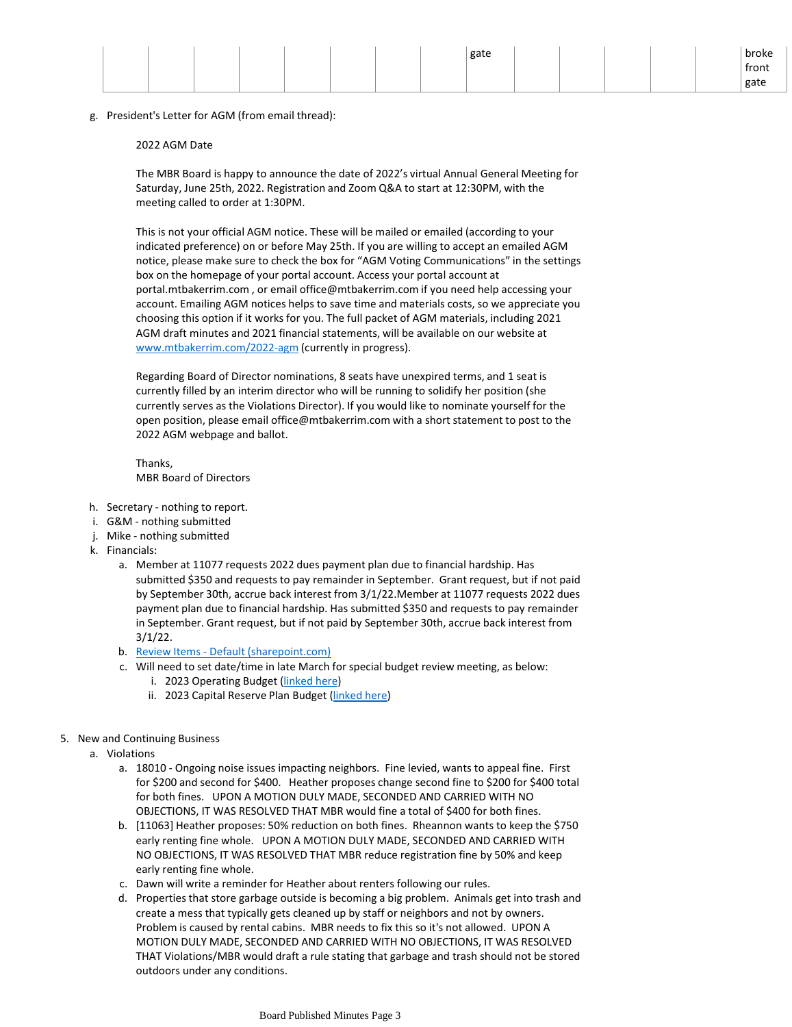|  |  |  |  | gate |  |  | broke |
|--|--|--|--|------|--|--|-------|
|  |  |  |  |      |  |  | front |
|  |  |  |  |      |  |  | gate  |

g. President's Letter for AGM (from email thread):

#### 2022 AGM Date

The MBR Board is happy to announce the date of 2022's virtual Annual General Meeting for Saturday, June 25th, 2022. Registration and Zoom Q&A to start at 12:30PM, with the meeting called to order at 1:30PM.

This is not your official AGM notice. These will be mailed or emailed (according to your indicated preference) on or before May 25th. If you are willing to accept an emailed AGM notice, please make sure to check the box for "AGM Voting Communications" in the settings box on the homepage of your portal account. Access your portal account at portal.mtbakerrim.com , or email office@mtbakerrim.com if you need help accessing your account. Emailing AGM notices helps to save time and materials costs, so we appreciate you choosing this option if it works for you. The full packet of AGM materials, including 2021 AGM draft minutes and 2021 financial statements, will be available on our website at [www.mtbakerrim.com/2022-agm](http://www.mtbakerrim.com/2022-agm) (currently in progress).

Regarding Board of Director nominations, 8 seats have unexpired terms, and 1 seat is currently filled by an interim director who will be running to solidify her position (she currently serves as the Violations Director). If you would like to nominate yourself for the open position, please email office@mtbakerrim.com with a short statement to post to the 2022 AGM webpage and ballot.

Thanks, MBR Board of Directors

- h. Secretary nothing to report.
- i. G&M nothing submitted
- j. Mike nothing submitted
- k. Financials:
	- Member at 11077 requests 2022 dues payment plan due to financial hardship. Has a. submitted \$350 and requests to pay remainder in September. Grant request, but if not paid by September 30th, accrue back interest from 3/1/22.Member at 11077 requests 2022 dues payment plan due to financial hardship. Has submitted \$350 and requests to pay remainder in September. Grant request, but if not paid by September 30th, accrue back interest from 3/1/22.
	- b. Review Items [Default \(sharepoint.com\)](https://mtbakerrim.sharepoint.com/sites/mbrboard/ReviewItems/AllItems.aspx?RootFolder=%2Fsites%2Fmbrboard%2FShared%20Documents%2FFINANCIALS%2F2022%20Monthly%20Financials&FolderCTID=0x012000B6AE82B15273DD48A386BCF4CF69FE3D&View=%7BF3330C0A%2DC1EA%2D4758%2D8FF7%2D6FB14D754F39%7D)
	- c. Will need to set date/time in late March for special budget review meeting, as below:
		- i. 2023 Operating Budget [\(linked here\)](https://mtbakerrim.sharepoint.com/:x:/r/sites/mbrboard/_layouts/15/Doc.aspx?sourcedoc=%7B360BF23E-5668-4DD4-9C7A-227B37103808%7D&action=edit&source=https%3A%2F%2Fmtbakerrim.sharepoint.com%2Fsites%2Fmbrboard%2FReviewItems%2FAllItems.aspx%3FRootFolder%3D%252Fsites%252Fmbrboard%252FShared%2520Documents%252FTreasurer%252FBudgets%252FBudgets%2520for%25202022%2520AGM%2520%25282023%2520Budget%2529%26FolderCTID%3D0x012000B6AE82B15273DD48A386BCF4CF69FE3D%26View%3D%257BF3330C0A%252DC1EA%252D4758%252D8FF7%252D6FB14D754F39%257D)
		- ii. 2023 Capital Reserve Plan Budget [\(linked here](https://mtbakerrim.sharepoint.com/:x:/r/sites/mbrboard/_layouts/15/Doc.aspx?sourcedoc=%7B5F564811-D6D8-4C8E-AEC0-E41C26C7BC6F%7D&action=edit&source=https%3A%2F%2Fmtbakerrim.sharepoint.com%2Fsites%2Fmbrboard%2FReviewItems%2FAllItems.aspx%3FRootFolder%3D%252Fsites%252Fmbrboard%252FShared%2520Documents%252FTreasurer%252FBudgets%252FBudgets%2520for%25202022%2520AGM%2520%25282023%2520Budget%2529%26FolderCTID%3D0x012000B6AE82B15273DD48A386BCF4CF69FE3D%26View%3D%257BF3330C0A%252DC1EA%252D4758%252D8FF7%252D6FB14D754F39%257D))
- 5. New and Continuing Business
	- a. Violations
		- a. 18010 Ongoing noise issues impacting neighbors. Fine levied, wants to appeal fine. First for \$200 and second for \$400. Heather proposes change second fine to \$200 for \$400 total for both fines. UPON A MOTION DULY MADE, SECONDED AND CARRIED WITH NO OBJECTIONS, IT WAS RESOLVED THAT MBR would fine a total of \$400 for both fines.
		- b. [11063] Heather proposes: 50% reduction on both fines. Rheannon wants to keep the \$750 early renting fine whole. UPON A MOTION DULY MADE, SECONDED AND CARRIED WITH NO OBJECTIONS, IT WAS RESOLVED THAT MBR reduce registration fine by 50% and keep early renting fine whole.
		- c. Dawn will write a reminder for Heather about renters following our rules.
		- d. Properties that store garbage outside is becoming a big problem. Animals get into trash and create a mess that typically gets cleaned up by staff or neighbors and not by owners. Problem is caused by rental cabins. MBR needs to fix this so it's not allowed. UPON A MOTION DULY MADE, SECONDED AND CARRIED WITH NO OBJECTIONS, IT WAS RESOLVED THAT Violations/MBR would draft a rule stating that garbage and trash should not be stored outdoors under any conditions.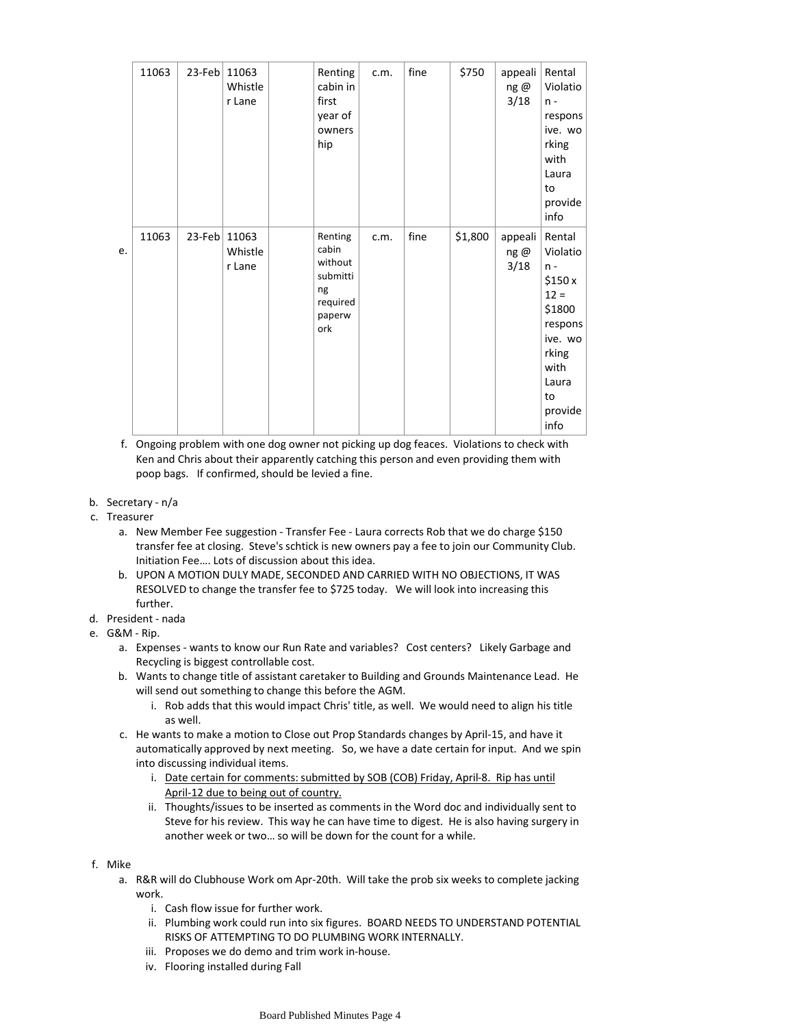|    | 11063 | 23-Feb 11063 | Whistle<br>r Lane | Renting<br>cabin in<br>first<br>year of<br>owners<br>hip                   | c.m. | fine | \$750   | appeali<br>ng@<br>3/18 | Rental<br>Violatio<br>$n -$<br>respons<br>ive. wo<br>rking<br>with<br>Laura<br>to<br>provide<br>info                               |
|----|-------|--------------|-------------------|----------------------------------------------------------------------------|------|------|---------|------------------------|------------------------------------------------------------------------------------------------------------------------------------|
| e. | 11063 | 23-Feb 11063 | Whistle<br>r Lane | Renting<br>cabin<br>without<br>submitti<br>ng<br>required<br>paperw<br>ork | c.m. | fine | \$1,800 | appeali<br>ng@<br>3/18 | Rental<br>Violatio<br>$n -$<br>\$150x<br>$12 =$<br>\$1800<br>respons<br>ive. wo<br>rking<br>with<br>Laura<br>to<br>provide<br>info |

f. Ongoing problem with one dog owner not picking up dog feaces. Violations to check with Ken and Chris about their apparently catching this person and even providing them with poop bags. If confirmed, should be levied a fine.

- b. Secretary n/a
- c. Treasurer
	- a. New Member Fee suggestion Transfer Fee Laura corrects Rob that we do charge \$150 transfer fee at closing. Steve's schtick is new owners pay a fee to join our Community Club. Initiation Fee…. Lots of discussion about this idea.
	- b. UPON A MOTION DULY MADE, SECONDED AND CARRIED WITH NO OBJECTIONS, IT WAS RESOLVED to change the transfer fee to \$725 today. We will look into increasing this further.
- d. President nada
- G&M Rip. e.
	- a. Expenses wants to know our Run Rate and variables? Cost centers? Likely Garbage and Recycling is biggest controllable cost.
	- Wants to change title of assistant caretaker to Building and Grounds Maintenance Lead. He b. will send out something to change this before the AGM.
		- i. Rob adds that this would impact Chris' title, as well. We would need to align his title as well.
	- c. He wants to make a motion to Close out Prop Standards changes by April-15, and have it automatically approved by next meeting. So, we have a date certain for input. And we spin into discussing individual items.
		- i. Date certain for comments: submitted by SOB (COB) Friday, April-8. Rip has until April-12 due to being out of country.
		- ii. Thoughts/issues to be inserted as comments in the Word doc and individually sent to Steve for his review. This way he can have time to digest. He is also having surgery in another week or two… so will be down for the count for a while.
- f. Mike
	- a. R&R will do Clubhouse Work om Apr-20th. Will take the prob six weeks to complete jacking work.
		- i. Cash flow issue for further work.
		- ii. Plumbing work could run into six figures. BOARD NEEDS TO UNDERSTAND POTENTIAL RISKS OF ATTEMPTING TO DO PLUMBING WORK INTERNALLY.
		- iii. Proposes we do demo and trim work in-house.
		- iv. Flooring installed during Fall